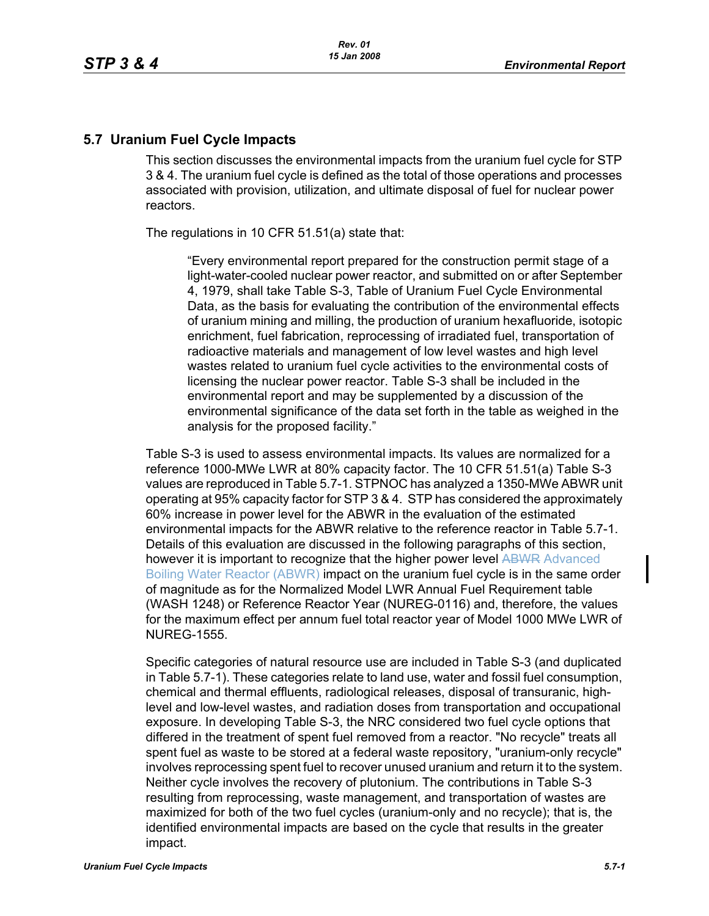## **5.7 Uranium Fuel Cycle Impacts**

This section discusses the environmental impacts from the uranium fuel cycle for STP 3 & 4. The uranium fuel cycle is defined as the total of those operations and processes associated with provision, utilization, and ultimate disposal of fuel for nuclear power reactors.

The regulations in 10 CFR 51.51(a) state that:

"Every environmental report prepared for the construction permit stage of a light-water-cooled nuclear power reactor, and submitted on or after September 4, 1979, shall take Table S-3, Table of Uranium Fuel Cycle Environmental Data, as the basis for evaluating the contribution of the environmental effects of uranium mining and milling, the production of uranium hexafluoride, isotopic enrichment, fuel fabrication, reprocessing of irradiated fuel, transportation of radioactive materials and management of low level wastes and high level wastes related to uranium fuel cycle activities to the environmental costs of licensing the nuclear power reactor. Table S-3 shall be included in the environmental report and may be supplemented by a discussion of the environmental significance of the data set forth in the table as weighed in the analysis for the proposed facility."

Table S-3 is used to assess environmental impacts. Its values are normalized for a reference 1000-MWe LWR at 80% capacity factor. The 10 CFR 51.51(a) Table S-3 values are reproduced in Table 5.7-1. STPNOC has analyzed a 1350-MWe ABWR unit operating at 95% capacity factor for STP 3 & 4. STP has considered the approximately 60% increase in power level for the ABWR in the evaluation of the estimated environmental impacts for the ABWR relative to the reference reactor in Table 5.7-1. Details of this evaluation are discussed in the following paragraphs of this section, however it is important to recognize that the higher power level ABWR Advanced Boiling Water Reactor (ABWR) impact on the uranium fuel cycle is in the same order of magnitude as for the Normalized Model LWR Annual Fuel Requirement table (WASH 1248) or Reference Reactor Year (NUREG-0116) and, therefore, the values for the maximum effect per annum fuel total reactor year of Model 1000 MWe LWR of NUREG-1555.

Specific categories of natural resource use are included in Table S-3 (and duplicated in Table 5.7-1). These categories relate to land use, water and fossil fuel consumption, chemical and thermal effluents, radiological releases, disposal of transuranic, highlevel and low-level wastes, and radiation doses from transportation and occupational exposure. In developing Table S-3, the NRC considered two fuel cycle options that differed in the treatment of spent fuel removed from a reactor. "No recycle" treats all spent fuel as waste to be stored at a federal waste repository, "uranium-only recycle" involves reprocessing spent fuel to recover unused uranium and return it to the system. Neither cycle involves the recovery of plutonium. The contributions in Table S-3 resulting from reprocessing, waste management, and transportation of wastes are maximized for both of the two fuel cycles (uranium-only and no recycle); that is, the identified environmental impacts are based on the cycle that results in the greater impact.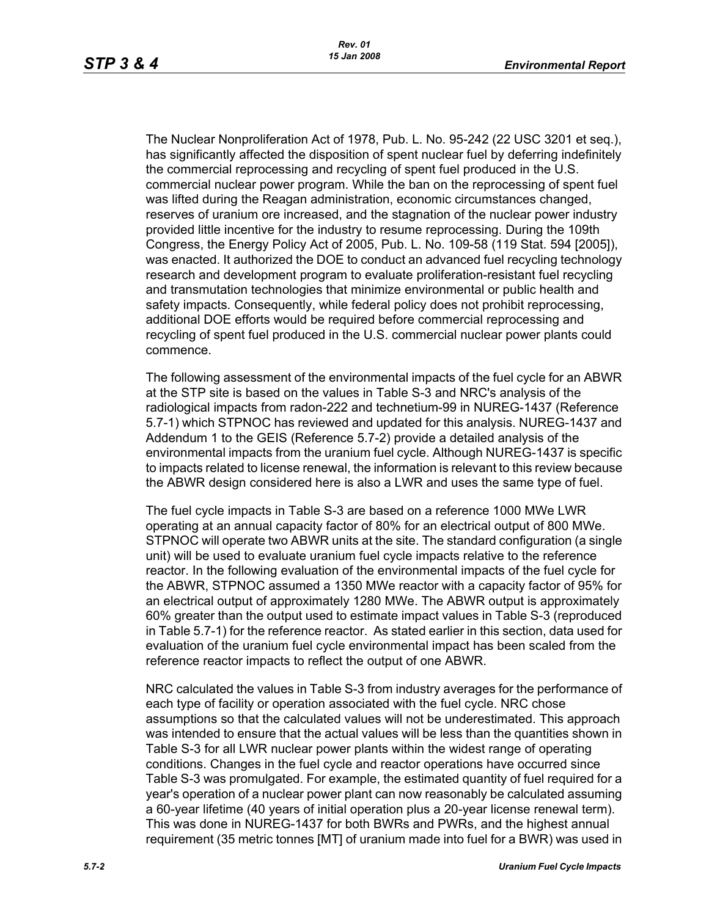The Nuclear Nonproliferation Act of 1978, Pub. L. No. 95-242 (22 USC 3201 et seq.), has significantly affected the disposition of spent nuclear fuel by deferring indefinitely the commercial reprocessing and recycling of spent fuel produced in the U.S. commercial nuclear power program. While the ban on the reprocessing of spent fuel was lifted during the Reagan administration, economic circumstances changed, reserves of uranium ore increased, and the stagnation of the nuclear power industry provided little incentive for the industry to resume reprocessing. During the 109th Congress, the Energy Policy Act of 2005, Pub. L. No. 109-58 (119 Stat. 594 [2005]), was enacted. It authorized the DOE to conduct an advanced fuel recycling technology research and development program to evaluate proliferation-resistant fuel recycling and transmutation technologies that minimize environmental or public health and safety impacts. Consequently, while federal policy does not prohibit reprocessing, additional DOE efforts would be required before commercial reprocessing and recycling of spent fuel produced in the U.S. commercial nuclear power plants could commence.

The following assessment of the environmental impacts of the fuel cycle for an ABWR at the STP site is based on the values in Table S-3 and NRC's analysis of the radiological impacts from radon-222 and technetium-99 in NUREG-1437 (Reference 5.7-1) which STPNOC has reviewed and updated for this analysis. NUREG-1437 and Addendum 1 to the GEIS (Reference 5.7-2) provide a detailed analysis of the environmental impacts from the uranium fuel cycle. Although NUREG-1437 is specific to impacts related to license renewal, the information is relevant to this review because the ABWR design considered here is also a LWR and uses the same type of fuel.

The fuel cycle impacts in Table S-3 are based on a reference 1000 MWe LWR operating at an annual capacity factor of 80% for an electrical output of 800 MWe. STPNOC will operate two ABWR units at the site. The standard configuration (a single unit) will be used to evaluate uranium fuel cycle impacts relative to the reference reactor. In the following evaluation of the environmental impacts of the fuel cycle for the ABWR, STPNOC assumed a 1350 MWe reactor with a capacity factor of 95% for an electrical output of approximately 1280 MWe. The ABWR output is approximately 60% greater than the output used to estimate impact values in Table S-3 (reproduced in Table 5.7-1) for the reference reactor. As stated earlier in this section, data used for evaluation of the uranium fuel cycle environmental impact has been scaled from the reference reactor impacts to reflect the output of one ABWR.

NRC calculated the values in Table S-3 from industry averages for the performance of each type of facility or operation associated with the fuel cycle. NRC chose assumptions so that the calculated values will not be underestimated. This approach was intended to ensure that the actual values will be less than the quantities shown in Table S-3 for all LWR nuclear power plants within the widest range of operating conditions. Changes in the fuel cycle and reactor operations have occurred since Table S-3 was promulgated. For example, the estimated quantity of fuel required for a year's operation of a nuclear power plant can now reasonably be calculated assuming a 60-year lifetime (40 years of initial operation plus a 20-year license renewal term). This was done in NUREG-1437 for both BWRs and PWRs, and the highest annual requirement (35 metric tonnes [MT] of uranium made into fuel for a BWR) was used in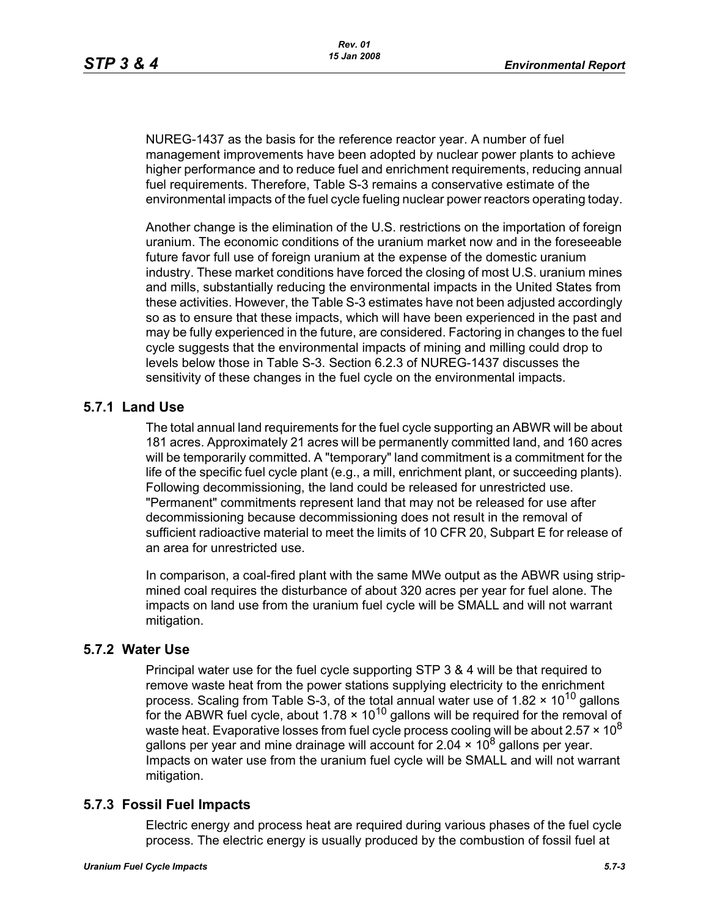NUREG-1437 as the basis for the reference reactor year. A number of fuel management improvements have been adopted by nuclear power plants to achieve higher performance and to reduce fuel and enrichment requirements, reducing annual fuel requirements. Therefore, Table S-3 remains a conservative estimate of the environmental impacts of the fuel cycle fueling nuclear power reactors operating today.

Another change is the elimination of the U.S. restrictions on the importation of foreign uranium. The economic conditions of the uranium market now and in the foreseeable future favor full use of foreign uranium at the expense of the domestic uranium industry. These market conditions have forced the closing of most U.S. uranium mines and mills, substantially reducing the environmental impacts in the United States from these activities. However, the Table S-3 estimates have not been adjusted accordingly so as to ensure that these impacts, which will have been experienced in the past and may be fully experienced in the future, are considered. Factoring in changes to the fuel cycle suggests that the environmental impacts of mining and milling could drop to levels below those in Table S-3. Section 6.2.3 of NUREG-1437 discusses the sensitivity of these changes in the fuel cycle on the environmental impacts.

# **5.7.1 Land Use**

The total annual land requirements for the fuel cycle supporting an ABWR will be about 181 acres. Approximately 21 acres will be permanently committed land, and 160 acres will be temporarily committed. A "temporary" land commitment is a commitment for the life of the specific fuel cycle plant (e.g., a mill, enrichment plant, or succeeding plants). Following decommissioning, the land could be released for unrestricted use. "Permanent" commitments represent land that may not be released for use after decommissioning because decommissioning does not result in the removal of sufficient radioactive material to meet the limits of 10 CFR 20, Subpart E for release of an area for unrestricted use.

In comparison, a coal-fired plant with the same MWe output as the ABWR using stripmined coal requires the disturbance of about 320 acres per year for fuel alone. The impacts on land use from the uranium fuel cycle will be SMALL and will not warrant mitigation.

#### **5.7.2 Water Use**

Principal water use for the fuel cycle supporting STP 3 & 4 will be that required to remove waste heat from the power stations supplying electricity to the enrichment process. Scaling from Table S-3, of the total annual water use of 1.82  $\times$  10<sup>10</sup> gallons for the ABWR fuel cycle, about  $1.78 \times 10^{10}$  gallons will be required for the removal of waste heat. Evaporative losses from fuel cycle process cooling will be about 2.57  $\times$  10<sup>8</sup> gallons per year and mine drainage will account for 2.04  $\times$  10<sup>8</sup> gallons per year. Impacts on water use from the uranium fuel cycle will be SMALL and will not warrant mitigation.

# **5.7.3 Fossil Fuel Impacts**

Electric energy and process heat are required during various phases of the fuel cycle process. The electric energy is usually produced by the combustion of fossil fuel at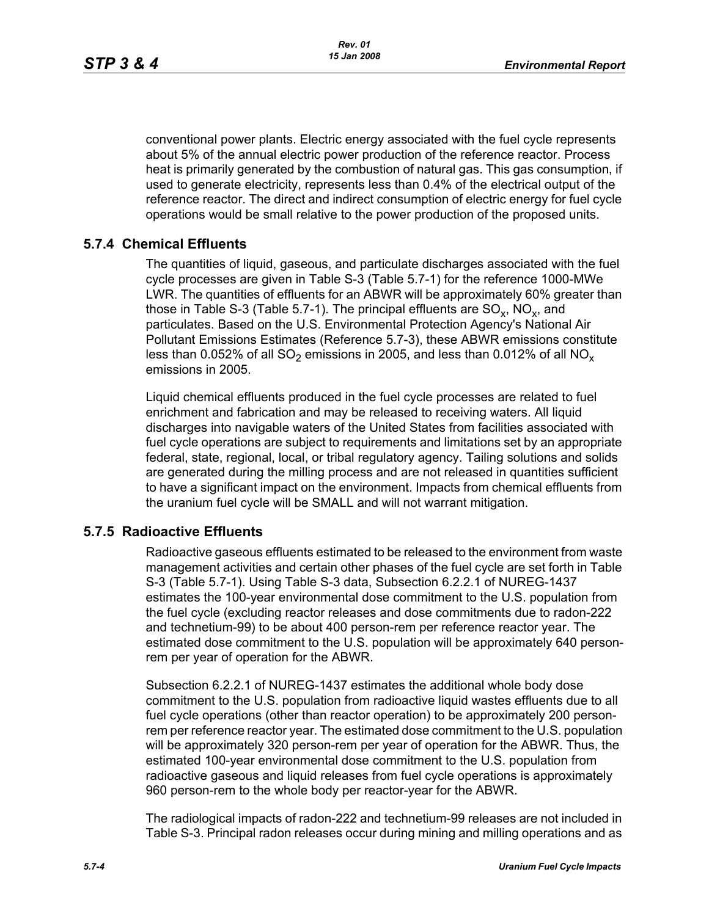conventional power plants. Electric energy associated with the fuel cycle represents about 5% of the annual electric power production of the reference reactor. Process heat is primarily generated by the combustion of natural gas. This gas consumption, if used to generate electricity, represents less than 0.4% of the electrical output of the reference reactor. The direct and indirect consumption of electric energy for fuel cycle operations would be small relative to the power production of the proposed units.

# **5.7.4 Chemical Effluents**

The quantities of liquid, gaseous, and particulate discharges associated with the fuel cycle processes are given in Table S-3 (Table 5.7-1) for the reference 1000-MWe LWR. The quantities of effluents for an ABWR will be approximately 60% greater than those in Table S-3 (Table 5.7-1). The principal effluents are  $SO_x$ ,  $NO_x$ , and particulates. Based on the U.S. Environmental Protection Agency's National Air Pollutant Emissions Estimates (Reference 5.7-3), these ABWR emissions constitute less than 0.052% of all  $SO_2$  emissions in 2005, and less than 0.012% of all  $NO_x$ emissions in 2005.

Liquid chemical effluents produced in the fuel cycle processes are related to fuel enrichment and fabrication and may be released to receiving waters. All liquid discharges into navigable waters of the United States from facilities associated with fuel cycle operations are subject to requirements and limitations set by an appropriate federal, state, regional, local, or tribal regulatory agency. Tailing solutions and solids are generated during the milling process and are not released in quantities sufficient to have a significant impact on the environment. Impacts from chemical effluents from the uranium fuel cycle will be SMALL and will not warrant mitigation.

# **5.7.5 Radioactive Effluents**

Radioactive gaseous effluents estimated to be released to the environment from waste management activities and certain other phases of the fuel cycle are set forth in Table S-3 (Table 5.7-1). Using Table S-3 data, Subsection 6.2.2.1 of NUREG-1437 estimates the 100-year environmental dose commitment to the U.S. population from the fuel cycle (excluding reactor releases and dose commitments due to radon-222 and technetium-99) to be about 400 person-rem per reference reactor year. The estimated dose commitment to the U.S. population will be approximately 640 personrem per year of operation for the ABWR.

Subsection 6.2.2.1 of NUREG-1437 estimates the additional whole body dose commitment to the U.S. population from radioactive liquid wastes effluents due to all fuel cycle operations (other than reactor operation) to be approximately 200 personrem per reference reactor year. The estimated dose commitment to the U.S. population will be approximately 320 person-rem per year of operation for the ABWR. Thus, the estimated 100-year environmental dose commitment to the U.S. population from radioactive gaseous and liquid releases from fuel cycle operations is approximately 960 person-rem to the whole body per reactor-year for the ABWR.

The radiological impacts of radon-222 and technetium-99 releases are not included in Table S-3. Principal radon releases occur during mining and milling operations and as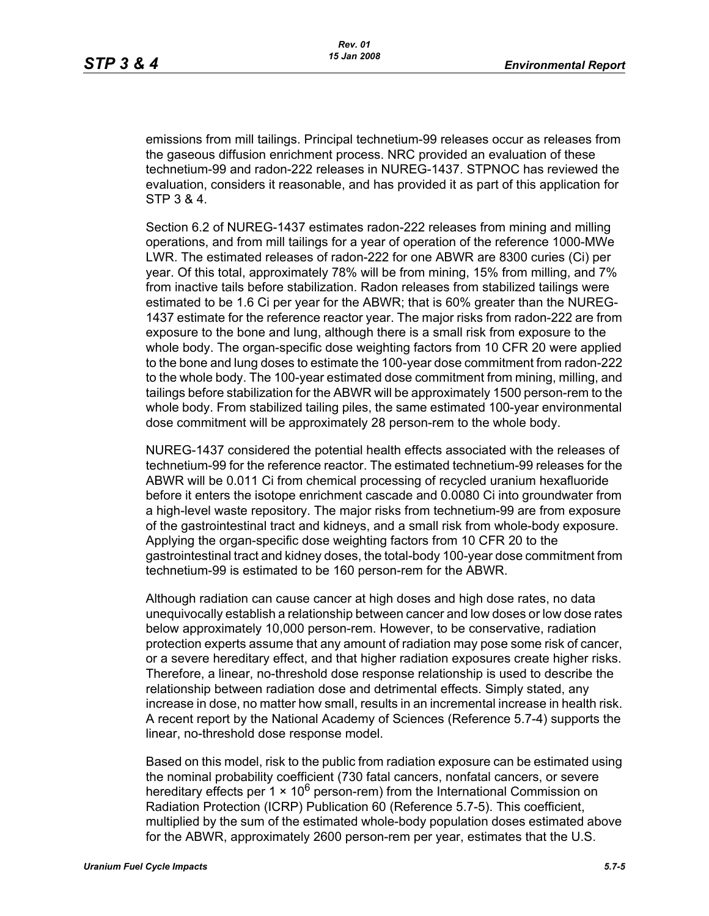emissions from mill tailings. Principal technetium-99 releases occur as releases from the gaseous diffusion enrichment process. NRC provided an evaluation of these technetium-99 and radon-222 releases in NUREG-1437. STPNOC has reviewed the evaluation, considers it reasonable, and has provided it as part of this application for STP 3 & 4.

Section 6.2 of NUREG-1437 estimates radon-222 releases from mining and milling operations, and from mill tailings for a year of operation of the reference 1000-MWe LWR. The estimated releases of radon-222 for one ABWR are 8300 curies (Ci) per year. Of this total, approximately 78% will be from mining, 15% from milling, and 7% from inactive tails before stabilization. Radon releases from stabilized tailings were estimated to be 1.6 Ci per year for the ABWR; that is 60% greater than the NUREG-1437 estimate for the reference reactor year. The major risks from radon-222 are from exposure to the bone and lung, although there is a small risk from exposure to the whole body. The organ-specific dose weighting factors from 10 CFR 20 were applied to the bone and lung doses to estimate the 100-year dose commitment from radon-222 to the whole body. The 100-year estimated dose commitment from mining, milling, and tailings before stabilization for the ABWR will be approximately 1500 person-rem to the whole body. From stabilized tailing piles, the same estimated 100-year environmental dose commitment will be approximately 28 person-rem to the whole body.

NUREG-1437 considered the potential health effects associated with the releases of technetium-99 for the reference reactor. The estimated technetium-99 releases for the ABWR will be 0.011 Ci from chemical processing of recycled uranium hexafluoride before it enters the isotope enrichment cascade and 0.0080 Ci into groundwater from a high-level waste repository. The major risks from technetium-99 are from exposure of the gastrointestinal tract and kidneys, and a small risk from whole-body exposure. Applying the organ-specific dose weighting factors from 10 CFR 20 to the gastrointestinal tract and kidney doses, the total-body 100-year dose commitment from technetium-99 is estimated to be 160 person-rem for the ABWR.

Although radiation can cause cancer at high doses and high dose rates, no data unequivocally establish a relationship between cancer and low doses or low dose rates below approximately 10,000 person-rem. However, to be conservative, radiation protection experts assume that any amount of radiation may pose some risk of cancer, or a severe hereditary effect, and that higher radiation exposures create higher risks. Therefore, a linear, no-threshold dose response relationship is used to describe the relationship between radiation dose and detrimental effects. Simply stated, any increase in dose, no matter how small, results in an incremental increase in health risk. A recent report by the National Academy of Sciences (Reference 5.7-4) supports the linear, no-threshold dose response model.

Based on this model, risk to the public from radiation exposure can be estimated using the nominal probability coefficient (730 fatal cancers, nonfatal cancers, or severe hereditary effects per 1  $\times$  10<sup>6</sup> person-rem) from the International Commission on Radiation Protection (ICRP) Publication 60 (Reference 5.7-5). This coefficient, multiplied by the sum of the estimated whole-body population doses estimated above for the ABWR, approximately 2600 person-rem per year, estimates that the U.S.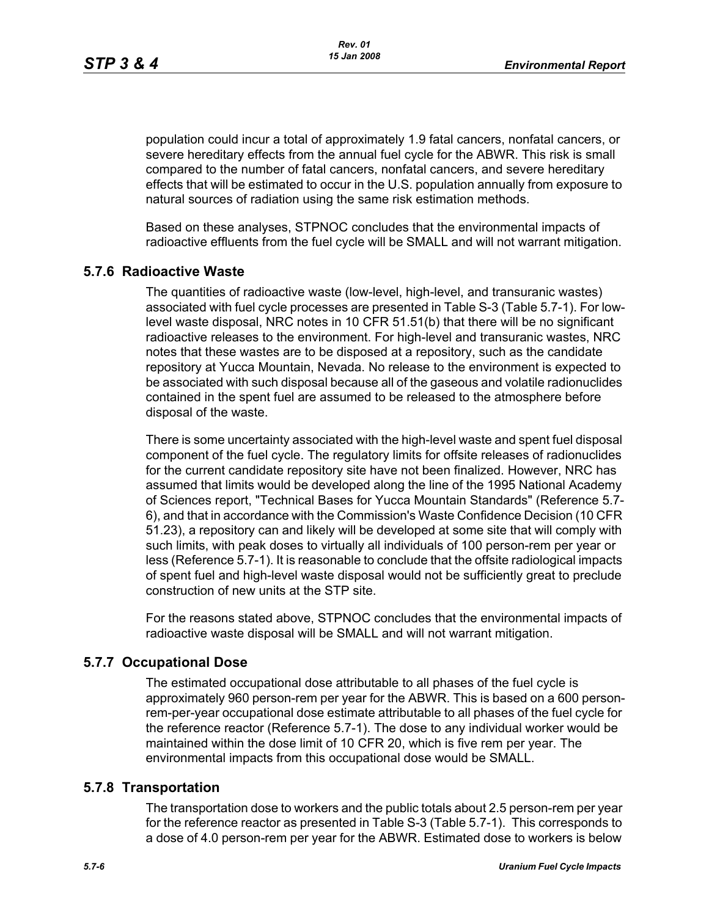population could incur a total of approximately 1.9 fatal cancers, nonfatal cancers, or severe hereditary effects from the annual fuel cycle for the ABWR. This risk is small compared to the number of fatal cancers, nonfatal cancers, and severe hereditary effects that will be estimated to occur in the U.S. population annually from exposure to natural sources of radiation using the same risk estimation methods.

Based on these analyses, STPNOC concludes that the environmental impacts of radioactive effluents from the fuel cycle will be SMALL and will not warrant mitigation.

## **5.7.6 Radioactive Waste**

The quantities of radioactive waste (low-level, high-level, and transuranic wastes) associated with fuel cycle processes are presented in Table S-3 (Table 5.7-1). For lowlevel waste disposal, NRC notes in 10 CFR 51.51(b) that there will be no significant radioactive releases to the environment. For high-level and transuranic wastes, NRC notes that these wastes are to be disposed at a repository, such as the candidate repository at Yucca Mountain, Nevada. No release to the environment is expected to be associated with such disposal because all of the gaseous and volatile radionuclides contained in the spent fuel are assumed to be released to the atmosphere before disposal of the waste.

There is some uncertainty associated with the high-level waste and spent fuel disposal component of the fuel cycle. The regulatory limits for offsite releases of radionuclides for the current candidate repository site have not been finalized. However, NRC has assumed that limits would be developed along the line of the 1995 National Academy of Sciences report, "Technical Bases for Yucca Mountain Standards" (Reference 5.7- 6), and that in accordance with the Commission's Waste Confidence Decision (10 CFR 51.23), a repository can and likely will be developed at some site that will comply with such limits, with peak doses to virtually all individuals of 100 person-rem per year or less (Reference 5.7-1). It is reasonable to conclude that the offsite radiological impacts of spent fuel and high-level waste disposal would not be sufficiently great to preclude construction of new units at the STP site.

For the reasons stated above, STPNOC concludes that the environmental impacts of radioactive waste disposal will be SMALL and will not warrant mitigation.

#### **5.7.7 Occupational Dose**

The estimated occupational dose attributable to all phases of the fuel cycle is approximately 960 person-rem per year for the ABWR. This is based on a 600 personrem-per-year occupational dose estimate attributable to all phases of the fuel cycle for the reference reactor (Reference 5.7-1). The dose to any individual worker would be maintained within the dose limit of 10 CFR 20, which is five rem per year. The environmental impacts from this occupational dose would be SMALL.

#### **5.7.8 Transportation**

The transportation dose to workers and the public totals about 2.5 person-rem per year for the reference reactor as presented in Table S-3 (Table 5.7-1). This corresponds to a dose of 4.0 person-rem per year for the ABWR. Estimated dose to workers is below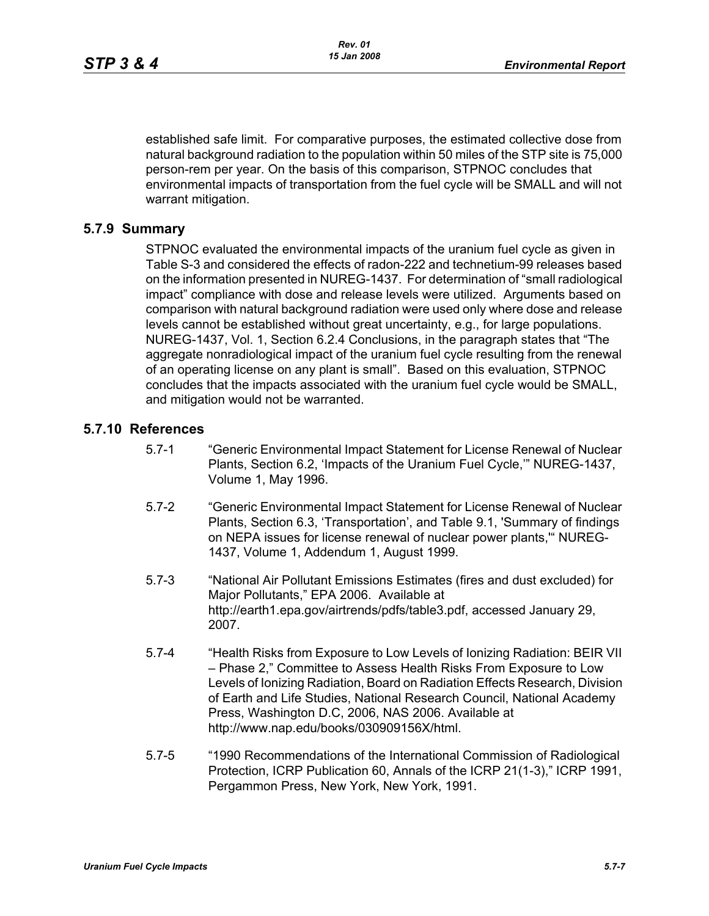established safe limit. For comparative purposes, the estimated collective dose from natural background radiation to the population within 50 miles of the STP site is 75,000 person-rem per year. On the basis of this comparison, STPNOC concludes that environmental impacts of transportation from the fuel cycle will be SMALL and will not warrant mitigation.

## **5.7.9 Summary**

STPNOC evaluated the environmental impacts of the uranium fuel cycle as given in Table S-3 and considered the effects of radon-222 and technetium-99 releases based on the information presented in NUREG-1437. For determination of "small radiological impact" compliance with dose and release levels were utilized. Arguments based on comparison with natural background radiation were used only where dose and release levels cannot be established without great uncertainty, e.g., for large populations. NUREG-1437, Vol. 1, Section 6.2.4 Conclusions, in the paragraph states that "The aggregate nonradiological impact of the uranium fuel cycle resulting from the renewal of an operating license on any plant is small". Based on this evaluation, STPNOC concludes that the impacts associated with the uranium fuel cycle would be SMALL, and mitigation would not be warranted.

# **5.7.10 References**

- 5.7-1 "Generic Environmental Impact Statement for License Renewal of Nuclear Plants, Section 6.2, 'Impacts of the Uranium Fuel Cycle,'" NUREG-1437, Volume 1, May 1996.
- 5.7-2 "Generic Environmental Impact Statement for License Renewal of Nuclear Plants, Section 6.3, 'Transportation', and Table 9.1, 'Summary of findings on NEPA issues for license renewal of nuclear power plants,'" NUREG-1437, Volume 1, Addendum 1, August 1999.
- 5.7-3 "National Air Pollutant Emissions Estimates (fires and dust excluded) for Major Pollutants," EPA 2006. Available at http://earth1.epa.gov/airtrends/pdfs/table3.pdf, accessed January 29, 2007.
- 5.7-4 "Health Risks from Exposure to Low Levels of Ionizing Radiation: BEIR VII – Phase 2," Committee to Assess Health Risks From Exposure to Low Levels of Ionizing Radiation, Board on Radiation Effects Research, Division of Earth and Life Studies, National Research Council, National Academy Press, Washington D.C, 2006, NAS 2006. Available at http://www.nap.edu/books/030909156X/html.
- 5.7-5 "1990 Recommendations of the International Commission of Radiological Protection, ICRP Publication 60, Annals of the ICRP 21(1-3)," ICRP 1991, Pergammon Press, New York, New York, 1991.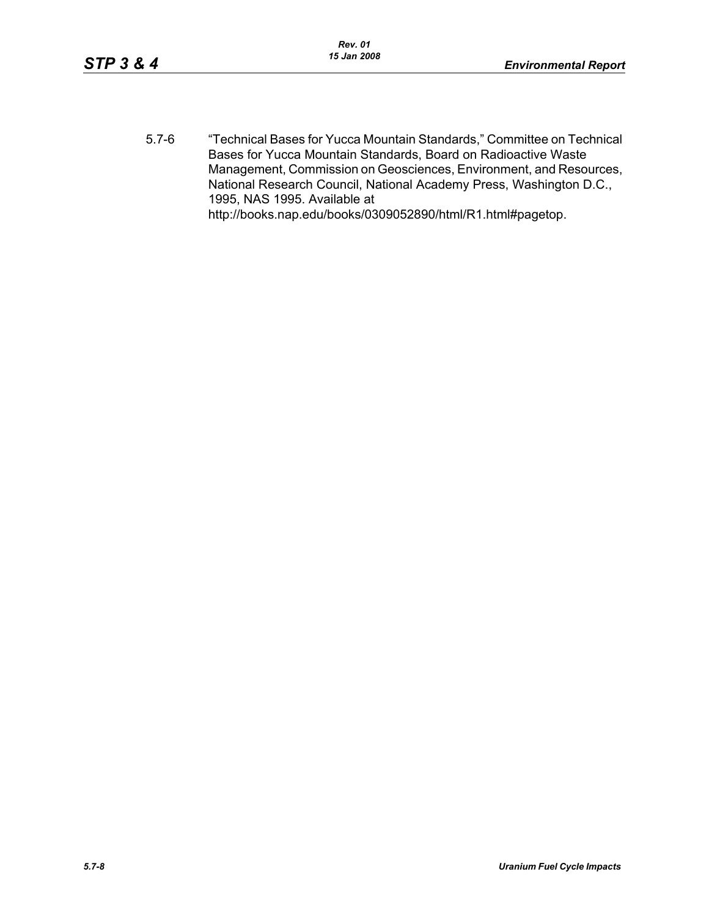5.7-6 "Technical Bases for Yucca Mountain Standards," Committee on Technical Bases for Yucca Mountain Standards, Board on Radioactive Waste Management, Commission on Geosciences, Environment, and Resources, National Research Council, National Academy Press, Washington D.C., 1995, NAS 1995. Available at http://books.nap.edu/books/0309052890/html/R1.html#pagetop.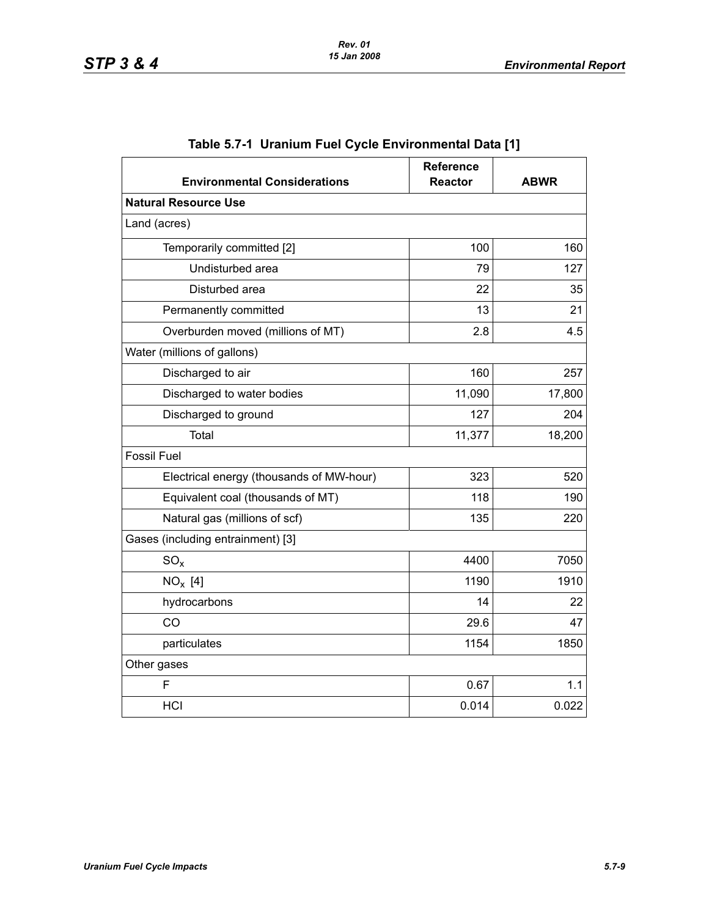| <b>Environmental Considerations</b>      | Reference<br><b>Reactor</b> | <b>ABWR</b> |
|------------------------------------------|-----------------------------|-------------|
| <b>Natural Resource Use</b>              |                             |             |
| Land (acres)                             |                             |             |
| Temporarily committed [2]                | 100                         | 160         |
| Undisturbed area                         | 79                          | 127         |
| Disturbed area                           | 22                          | 35          |
| Permanently committed                    | 13                          | 21          |
| Overburden moved (millions of MT)        | 2.8                         | 4.5         |
| Water (millions of gallons)              |                             |             |
| Discharged to air                        | 160                         | 257         |
| Discharged to water bodies               | 11,090                      | 17,800      |
| Discharged to ground                     | 127                         | 204         |
| Total                                    | 11,377                      | 18,200      |
| <b>Fossil Fuel</b>                       |                             |             |
| Electrical energy (thousands of MW-hour) | 323                         | 520         |
| Equivalent coal (thousands of MT)        | 118                         | 190         |
| Natural gas (millions of scf)            | 135                         | 220         |
| Gases (including entrainment) [3]        |                             |             |
| $SO_{x}$                                 | 4400                        | 7050        |
| $NO_x$ [4]                               | 1190                        | 1910        |
| hydrocarbons                             | 14                          | 22          |
| CO                                       | 29.6                        | 47          |
| particulates                             | 1154                        | 1850        |
| Other gases                              |                             |             |
| F                                        | 0.67                        | 1.1         |
| <b>HCI</b>                               | 0.014                       | 0.022       |

# **Table 5.7-1 Uranium Fuel Cycle Environmental Data [1]**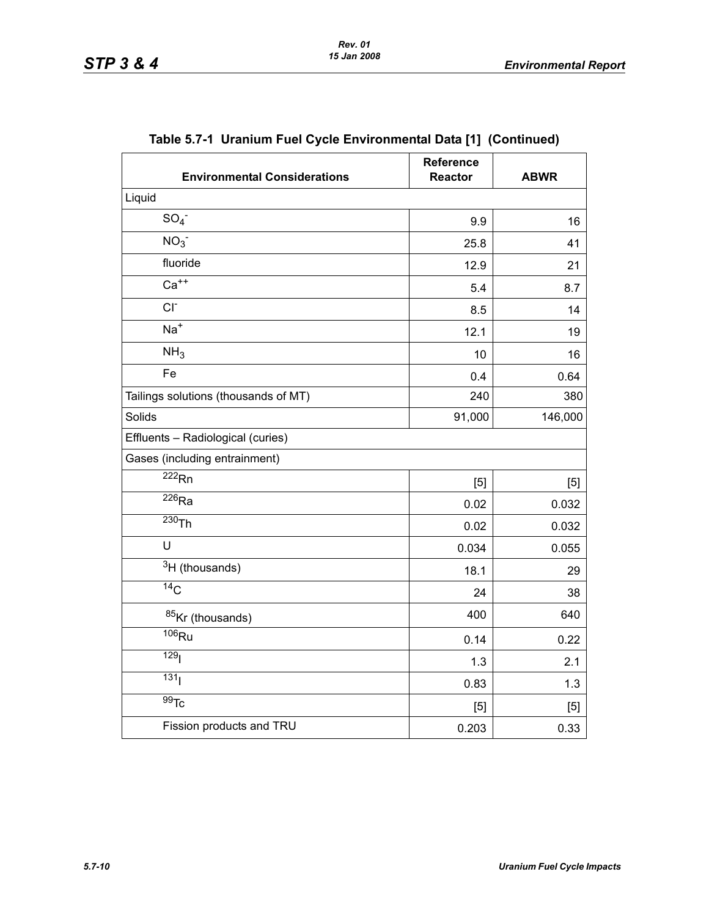| <b>Environmental Considerations</b>  | Reference<br><b>Reactor</b> | <b>ABWR</b> |
|--------------------------------------|-----------------------------|-------------|
| Liquid                               |                             |             |
| SO <sub>4</sub>                      | 9.9                         | 16          |
| NO <sub>3</sub>                      | 25.8                        | 41          |
| fluoride                             | 12.9                        | 21          |
| $Ca++$                               | 5.4                         | 8.7         |
| $CI-$                                | 8.5                         | 14          |
| $Na+$                                | 12.1                        | 19          |
| NH <sub>3</sub>                      | 10                          | 16          |
| Fe                                   | 0.4                         | 0.64        |
| Tailings solutions (thousands of MT) | 240                         | 380         |
| Solids                               | 91,000                      | 146,000     |
| Effluents - Radiological (curies)    |                             |             |
| Gases (including entrainment)        |                             |             |
| $\overline{222}$ <sub>Rn</sub>       | [5]                         | [5]         |
| $\overline{^{226}}$ Ra               | 0.02                        | 0.032       |
| $230$ Th                             | 0.02                        | 0.032       |
| U                                    | 0.034                       | 0.055       |
| <sup>3</sup> H (thousands)           | 18.1                        | 29          |
| $\overline{^{14}C}$                  | 24                          | 38          |
| 85Kr (thousands)                     | 400                         | 640         |
| $\overline{106}$ Ru                  | 0.14                        | 0.22        |
| 129 <sub>l</sub>                     | 1.3                         | 2.1         |
| 131 <sub>1</sub>                     | 0.83                        | 1.3         |
| $\overline{99}$ Tc                   | [5]                         | [5]         |
| Fission products and TRU             | 0.203                       | 0.33        |

**Table 5.7-1 Uranium Fuel Cycle Environmental Data [1] (Continued)**